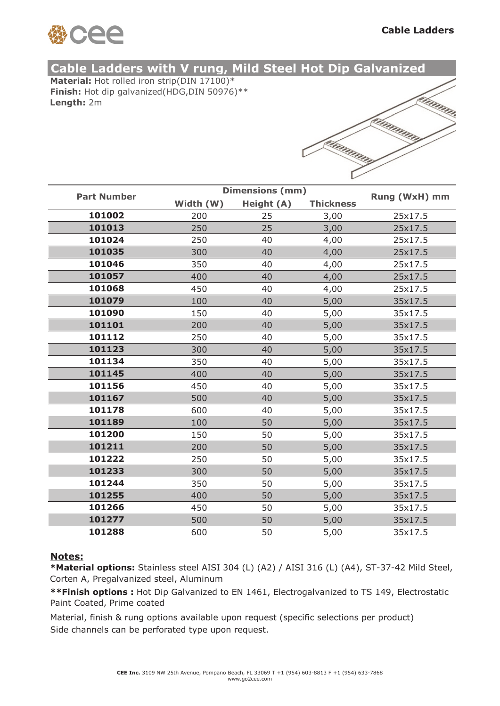

## **Cable Ladders with V rung, Mild Steel Hot Dip Galvanized**

**Material:** Hot rolled iron strip(DIN 17100)\* **Finish:** Hot dip galvanized(HDG,DIN 50976)\*\* **Length:** 2m

|           | i innun |
|-----------|---------|
| etninning |         |
| ahaanan   |         |

| <b>Part Number</b> | <b>Dimensions (mm)</b> |            |                  | Rung (WxH) mm |
|--------------------|------------------------|------------|------------------|---------------|
|                    | Width (W)              | Height (A) | <b>Thickness</b> |               |
| 101002             | 200                    | 25         | 3,00             | 25x17.5       |
| 101013             | 250                    | 25         | 3,00             | 25x17.5       |
| 101024             | 250                    | 40         | 4,00             | 25x17.5       |
| 101035             | 300                    | 40         | 4,00             | 25x17.5       |
| 101046             | 350                    | 40         | 4,00             | 25x17.5       |
| 101057             | 400                    | 40         | 4,00             | 25x17.5       |
| 101068             | 450                    | 40         | 4,00             | 25x17.5       |
| 101079             | 100                    | 40         | 5,00             | 35x17.5       |
| 101090             | 150                    | 40         | 5,00             | 35x17.5       |
| 101101             | 200                    | 40         | 5,00             | 35x17.5       |
| 101112             | 250                    | 40         | 5,00             | 35x17.5       |
| 101123             | 300                    | 40         | 5,00             | 35x17.5       |
| 101134             | 350                    | 40         | 5,00             | 35x17.5       |
| 101145             | 400                    | 40         | 5,00             | 35x17.5       |
| 101156             | 450                    | 40         | 5,00             | 35x17.5       |
| 101167             | 500                    | 40         | 5,00             | 35x17.5       |
| 101178             | 600                    | 40         | 5,00             | 35x17.5       |
| 101189             | 100                    | 50         | 5,00             | 35x17.5       |
| 101200             | 150                    | 50         | 5,00             | 35x17.5       |
| 101211             | 200                    | 50         | 5,00             | 35x17.5       |
| 101222             | 250                    | 50         | 5,00             | 35x17.5       |
| 101233             | 300                    | 50         | 5,00             | 35x17.5       |
| 101244             | 350                    | 50         | 5,00             | 35x17.5       |
| 101255             | 400                    | 50         | 5,00             | 35x17.5       |
| 101266             | 450                    | 50         | 5,00             | 35x17.5       |
| 101277             | 500                    | 50         | 5,00             | 35x17.5       |
| 101288             | 600                    | 50         | 5,00             | 35x17.5       |

### **Notes:**

**\*Material options:** Stainless steel AISI 304 (L) (A2) / AISI 316 (L) (A4), ST-37-42 Mild Steel, Corten A, Pregalvanized steel, Aluminum

**\*\*Finish options :** Hot Dip Galvanized to EN 1461, Electrogalvanized to TS 149, Electrostatic Paint Coated, Prime coated

Material, finish & rung options available upon request (specific selections per product) Side channels can be perforated type upon request.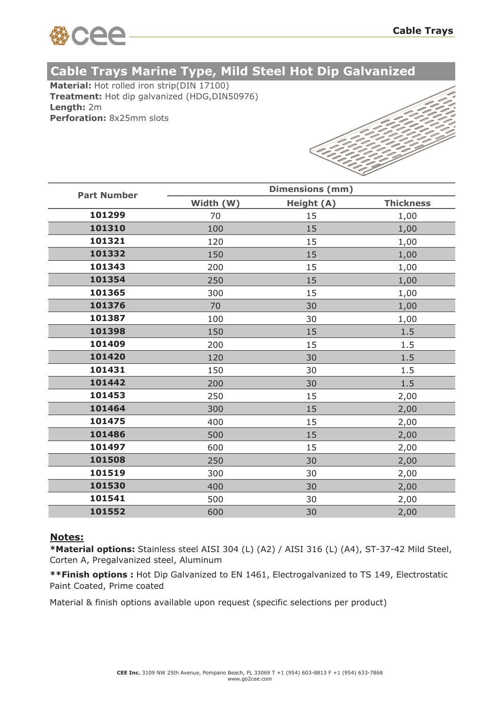

# **Cable Trays Marine Type, Mild Steel Hot Dip Galvanized**

**Material:** Hot rolled iron strip(DIN 17100) **Treatment:** Hot dip galvanized (HDG,DIN50976) **Length:** 2m **Perforation:** 8x25mm slots



| <b>Part Number</b> | <b>Dimensions (mm)</b> |            |                  |  |  |
|--------------------|------------------------|------------|------------------|--|--|
|                    | Width (W)              | Height (A) | <b>Thickness</b> |  |  |
| 101299             | 70                     | 15         | 1,00             |  |  |
| 101310             | 100                    | 15         | 1,00             |  |  |
| 101321             | 120                    | 15         | 1,00             |  |  |
| 101332             | 150                    | 15         | 1,00             |  |  |
| 101343             | 200                    | 15         | 1,00             |  |  |
| 101354             | 250                    | 15         | 1,00             |  |  |
| 101365             | 300                    | 15         | 1,00             |  |  |
| 101376             | 70                     | 30         | 1,00             |  |  |
| 101387             | 100                    | 30         | 1,00             |  |  |
| 101398             | 150                    | 15         | 1.5              |  |  |
| 101409             | 200                    | 15         | 1.5              |  |  |
| 101420             | 120                    | 30         | 1.5              |  |  |
| 101431             | 150                    | 30         | 1.5              |  |  |
| 101442             | 200                    | 30         | 1.5              |  |  |
| 101453             | 250                    | 15         | 2,00             |  |  |
| 101464             | 300                    | 15         | 2,00             |  |  |
| 101475             | 400                    | 15         | 2,00             |  |  |
| 101486             | 500                    | 15         | 2,00             |  |  |
| 101497             | 600                    | 15         | 2,00             |  |  |
| 101508             | 250                    | 30         | 2,00             |  |  |
| 101519             | 300                    | 30         | 2,00             |  |  |
| 101530             | 400                    | 30         | 2,00             |  |  |
| 101541             | 500                    | 30         | 2,00             |  |  |
| 101552             | 600                    | 30         | 2,00             |  |  |

### **Notes:**

**\*Material options:** Stainless steel AISI 304 (L) (A2) / AISI 316 (L) (A4), ST-37-42 Mild Steel, Corten A, Pregalvanized steel, Aluminum

**\*\*Finish options :** Hot Dip Galvanized to EN 1461, Electrogalvanized to TS 149, Electrostatic Paint Coated, Prime coated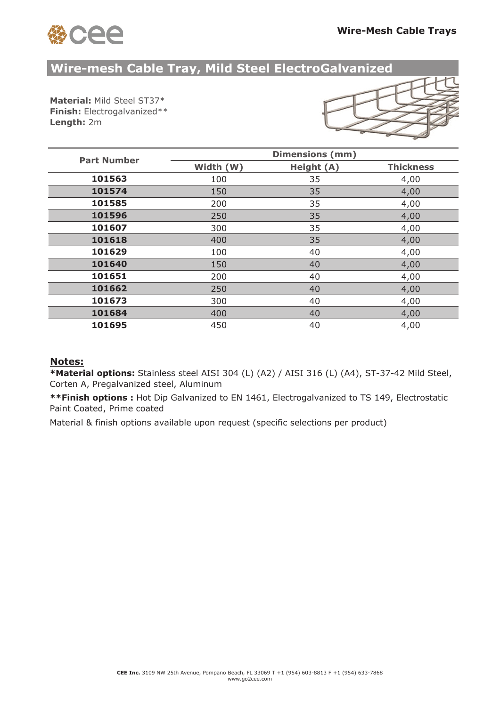

## **Wire-mesh Cable Tray, Mild Steel ElectroGalvanized**

**Material:** Mild Steel ST37\* **Finish:** Electrogalvanized\*\* **Length:** 2m



| <b>Part Number</b> | <b>Dimensions (mm)</b> |            |                  |  |  |
|--------------------|------------------------|------------|------------------|--|--|
|                    | Width (W)              | Height (A) | <b>Thickness</b> |  |  |
| 101563             | 100                    | 35         | 4,00             |  |  |
| 101574             | 150                    | 35         | 4,00             |  |  |
| 101585             | 200                    | 35         | 4,00             |  |  |
| 101596             | 250                    | 35         | 4,00             |  |  |
| 101607             | 300                    | 35         | 4,00             |  |  |
| 101618             | 400                    | 35         | 4,00             |  |  |
| 101629             | 100                    | 40         | 4,00             |  |  |
| 101640             | 150                    | 40         | 4,00             |  |  |
| 101651             | 200                    | 40         | 4,00             |  |  |
| 101662             | 250                    | 40         | 4,00             |  |  |
| 101673             | 300                    | 40         | 4,00             |  |  |
| 101684             | 400                    | 40         | 4,00             |  |  |
| 101695             | 450                    | 40         | 4,00             |  |  |

### **Notes:**

**\*Material options:** Stainless steel AISI 304 (L) (A2) / AISI 316 (L) (A4), ST-37-42 Mild Steel, Corten A, Pregalvanized steel, Aluminum

**\*\*Finish options :** Hot Dip Galvanized to EN 1461, Electrogalvanized to TS 149, Electrostatic Paint Coated, Prime coated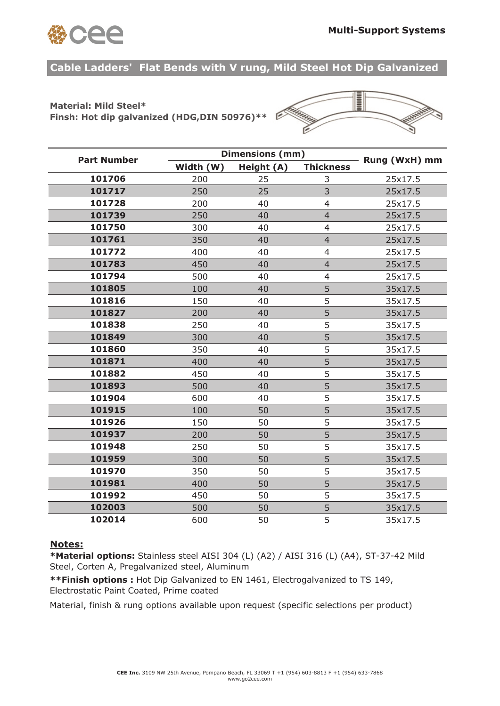

**Cable Ladders' Flat Bends with V rung, Mild Steel Hot Dip Galvanized**

## **Material: Mild Steel\***

**Finsh: Hot dip galvanized (HDG,DIN 50976)\*\*** 



| <b>Part Number</b> |           | <b>Dimensions (mm)</b> |                  |               |
|--------------------|-----------|------------------------|------------------|---------------|
|                    | Width (W) | Height (A)             | <b>Thickness</b> | Rung (WxH) mm |
| 101706             | 200       | 25                     | 3                | 25x17.5       |
| 101717             | 250       | 25                     | 3                | 25x17.5       |
| 101728             | 200       | 40                     | $\overline{4}$   | 25x17.5       |
| 101739             | 250       | 40                     | $\overline{4}$   | 25x17.5       |
| 101750             | 300       | 40                     | $\overline{4}$   | 25x17.5       |
| 101761             | 350       | 40                     | $\overline{4}$   | 25x17.5       |
| 101772             | 400       | 40                     | $\overline{4}$   | 25x17.5       |
| 101783             | 450       | 40                     | $\overline{4}$   | 25x17.5       |
| 101794             | 500       | 40                     | $\overline{4}$   | 25x17.5       |
| 101805             | 100       | 40                     | 5                | 35x17.5       |
| 101816             | 150       | 40                     | 5                | 35x17.5       |
| 101827             | 200       | 40                     | 5                | 35x17.5       |
| 101838             | 250       | 40                     | 5                | 35x17.5       |
| 101849             | 300       | 40                     | 5                | 35x17.5       |
| 101860             | 350       | 40                     | 5                | 35x17.5       |
| 101871             | 400       | 40                     | 5                | 35x17.5       |
| 101882             | 450       | 40                     | 5                | 35x17.5       |
| 101893             | 500       | 40                     | 5                | 35x17.5       |
| 101904             | 600       | 40                     | 5                | 35x17.5       |
| 101915             | 100       | 50                     | 5                | 35x17.5       |
| 101926             | 150       | 50                     | 5                | 35x17.5       |
| 101937             | 200       | 50                     | 5                | 35x17.5       |
| 101948             | 250       | 50                     | 5                | 35x17.5       |
| 101959             | 300       | 50                     | 5                | 35x17.5       |
| 101970             | 350       | 50                     | 5                | 35x17.5       |
| 101981             | 400       | 50                     | 5                | 35x17.5       |
| 101992             | 450       | 50                     | 5                | 35x17.5       |
| 102003             | 500       | 50                     | 5                | 35x17.5       |
| 102014             | 600       | 50                     | 5                | 35x17.5       |

#### **Notes:**

**\*Material options:** Stainless steel AISI 304 (L) (A2) / AISI 316 (L) (A4), ST-37-42 Mild Steel, Corten A, Pregalvanized steel, Aluminum

**\*\*Finish options :** Hot Dip Galvanized to EN 1461, Electrogalvanized to TS 149, Electrostatic Paint Coated, Prime coated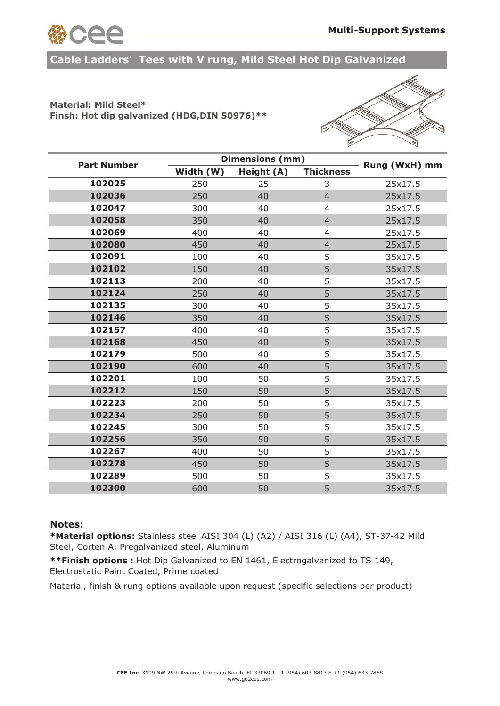

**Cable Ladders' Tees with V rung, Mild Steel Hot Dip Galvanized**

### **Material: Mild Steel\* Finsh: Hot dip galvanized (HDG,DIN 50976)\*\***



| <b>Part Number</b> |           | Dimensions (mm) |                  |               |
|--------------------|-----------|-----------------|------------------|---------------|
|                    | Width (W) | Height (A)      | <b>Thickness</b> | Rung (WxH) mm |
| 102025             | 250       | 25              | 3                | 25x17.5       |
| 102036             | 250       | 40              | $\overline{4}$   | 25x17.5       |
| 102047             | 300       | 40              | 4                | 25x17.5       |
| 102058             | 350       | 40              | $\overline{4}$   | 25x17.5       |
| 102069             | 400       | 40              | $\overline{4}$   | 25x17.5       |
| 102080             | 450       | 40              | $\overline{4}$   | 25x17.5       |
| 102091             | 100       | 40              | 5                | 35x17.5       |
| 102102             | 150       | 40              | 5                | 35x17.5       |
| 102113             | 200       | 40              | 5                | 35x17.5       |
| 102124             | 250       | 40              | 5                | 35x17.5       |
| 102135             | 300       | 40              | 5                | 35x17.5       |
| 102146             | 350       | 40              | 5                | 35x17.5       |
| 102157             | 400       | 40              | 5                | 35x17.5       |
| 102168             | 450       | 40              | 5                | 35x17.5       |
| 102179             | 500       | 40              | 5                | 35x17.5       |
| 102190             | 600       | 40              | 5                | 35x17.5       |
| 102201             | 100       | 50              | 5                | 35x17.5       |
| 102212             | 150       | 50              | 5                | 35x17.5       |
| 102223             | 200       | 50              | 5                | 35x17.5       |
| 102234             | 250       | 50              | 5                | 35x17.5       |
| 102245             | 300       | 50              | 5                | 35x17.5       |
| 102256             | 350       | 50              | 5                | 35x17.5       |
| 102267             | 400       | 50              | 5                | 35x17.5       |
| 102278             | 450       | 50              | 5                | 35x17.5       |
| 102289             | 500       | 50              | 5                | 35x17.5       |
| 102300             | 600       | 50              | 5                | 35x17.5       |

#### **Notes:**

**\*Material options:** Stainless steel AISI 304 (L) (A2) / AISI 316 (L) (A4), ST-37-42 Mild Steel, Corten A, Pregalvanized steel, Aluminum

**\*\*Finish options :** Hot Dip Galvanized to EN 1461, Electrogalvanized to TS 149, Electrostatic Paint Coated, Prime coated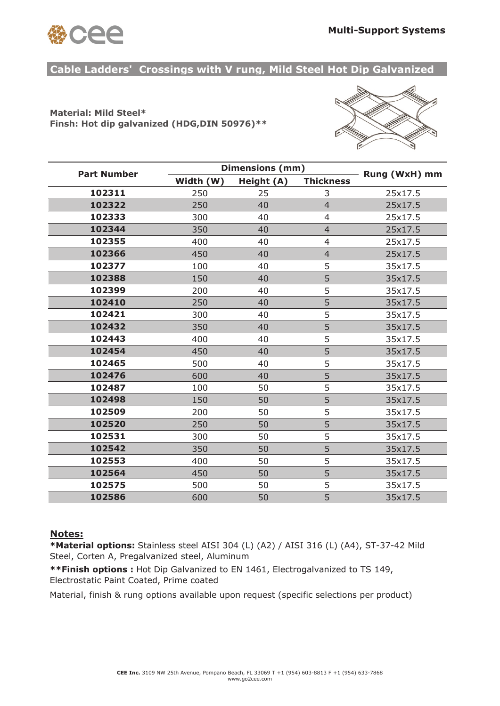

**Cable Ladders' Crossings with V rung, Mild Steel Hot Dip Galvanized**

### **Material: Mild Steel\* Finsh: Hot dip galvanized (HDG,DIN 50976)\*\***



| <b>Part Number</b> |           | <b>Dimensions (mm)</b> |                  |               |  |
|--------------------|-----------|------------------------|------------------|---------------|--|
|                    | Width (W) | Height (A)             | <b>Thickness</b> | Rung (WxH) mm |  |
| 102311             | 250       | 25                     | 3                | 25x17.5       |  |
| 102322             | 250       | 40                     | $\overline{4}$   | 25x17.5       |  |
| 102333             | 300       | 40                     | $\overline{4}$   | 25x17.5       |  |
| 102344             | 350       | 40                     | $\overline{4}$   | 25x17.5       |  |
| 102355             | 400       | 40                     | $\overline{4}$   | 25x17.5       |  |
| 102366             | 450       | 40                     | $\overline{4}$   | 25x17.5       |  |
| 102377             | 100       | 40                     | 5                | 35x17.5       |  |
| 102388             | 150       | 40                     | 5                | 35x17.5       |  |
| 102399             | 200       | 40                     | 5                | 35x17.5       |  |
| 102410             | 250       | 40                     | 5                | 35x17.5       |  |
| 102421             | 300       | 40                     | 5                | 35x17.5       |  |
| 102432             | 350       | 40                     | 5                | 35x17.5       |  |
| 102443             | 400       | 40                     | 5                | 35x17.5       |  |
| 102454             | 450       | 40                     | 5                | 35x17.5       |  |
| 102465             | 500       | 40                     | 5                | 35x17.5       |  |
| 102476             | 600       | 40                     | 5                | 35x17.5       |  |
| 102487             | 100       | 50                     | 5                | 35x17.5       |  |
| 102498             | 150       | 50                     | 5                | 35x17.5       |  |
| 102509             | 200       | 50                     | 5                | 35x17.5       |  |
| 102520             | 250       | 50                     | 5                | 35x17.5       |  |
| 102531             | 300       | 50                     | 5                | 35x17.5       |  |
| 102542             | 350       | 50                     | 5                | 35x17.5       |  |
| 102553             | 400       | 50                     | 5                | 35x17.5       |  |
| 102564             | 450       | 50                     | 5                | 35x17.5       |  |
| 102575             | 500       | 50                     | 5                | 35x17.5       |  |
| 102586             | 600       | 50                     | 5                | 35x17.5       |  |

### **Notes:**

**\*Material options:** Stainless steel AISI 304 (L) (A2) / AISI 316 (L) (A4), ST-37-42 Mild Steel, Corten A, Pregalvanized steel, Aluminum

**\*\*Finish options :** Hot Dip Galvanized to EN 1461, Electrogalvanized to TS 149, Electrostatic Paint Coated, Prime coated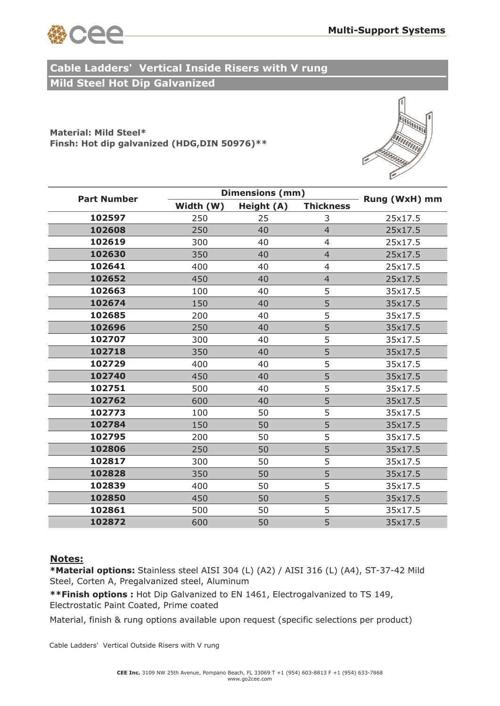

## **Mild Steel Hot Dip Galvanized Cable Ladders' Vertical Inside Risers with V rung**

**Material: Mild Steel\* Finsh: Hot dip galvanized (HDG,DIN 50976)\*\*** 



| <b>Part Number</b> |           | <b>Dimensions (mm)</b> |                  |               |  |
|--------------------|-----------|------------------------|------------------|---------------|--|
|                    | Width (W) | Height (A)             | <b>Thickness</b> | Rung (WxH) mm |  |
| 102597             | 250       | 25                     | 3                | 25x17.5       |  |
| 102608             | 250       | 40                     | $\overline{4}$   | 25x17.5       |  |
| 102619             | 300       | 40                     | $\overline{4}$   | 25x17.5       |  |
| 102630             | 350       | 40                     | $\overline{4}$   | 25x17.5       |  |
| 102641             | 400       | 40                     | $\overline{4}$   | 25x17.5       |  |
| 102652             | 450       | 40                     | $\overline{4}$   | 25x17.5       |  |
| 102663             | 100       | 40                     | 5                | 35x17.5       |  |
| 102674             | 150       | 40                     | 5                | 35x17.5       |  |
| 102685             | 200       | 40                     | 5                | 35x17.5       |  |
| 102696             | 250       | 40                     | 5                | 35x17.5       |  |
| 102707             | 300       | 40                     | 5                | 35x17.5       |  |
| 102718             | 350       | 40                     | 5                | 35x17.5       |  |
| 102729             | 400       | 40                     | 5                | 35x17.5       |  |
| 102740             | 450       | 40                     | 5                | 35x17.5       |  |
| 102751             | 500       | 40                     | 5                | 35x17.5       |  |
| 102762             | 600       | 40                     | 5                | 35x17.5       |  |
| 102773             | 100       | 50                     | 5                | 35x17.5       |  |
| 102784             | 150       | 50                     | 5                | 35x17.5       |  |
| 102795             | 200       | 50                     | 5                | 35x17.5       |  |
| 102806             | 250       | 50                     | 5                | 35x17.5       |  |
| 102817             | 300       | 50                     | 5                | 35x17.5       |  |
| 102828             | 350       | 50                     | 5                | 35x17.5       |  |
| 102839             | 400       | 50                     | 5                | 35x17.5       |  |
| 102850             | 450       | 50                     | 5                | 35x17.5       |  |
| 102861             | 500       | 50                     | 5                | 35x17.5       |  |
| 102872             | 600       | 50                     | 5                | 35x17.5       |  |

### **Notes:**

**\*Material options:** Stainless steel AISI 304 (L) (A2) / AISI 316 (L) (A4), ST-37-42 Mild Steel, Corten A, Pregalvanized steel, Aluminum

**\*\*Finish options :** Hot Dip Galvanized to EN 1461, Electrogalvanized to TS 149, Electrostatic Paint Coated, Prime coated

Material, finish & rung options available upon request (specific selections per product)

Cable Ladders' Vertical Outside Risers with V rung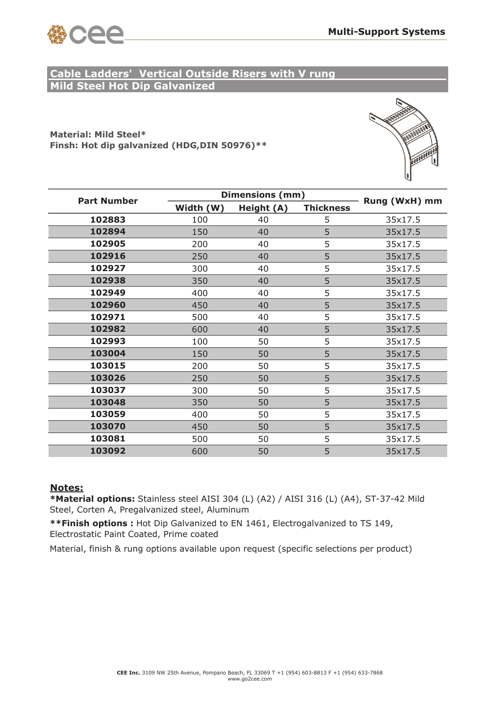

## **Mild Steel Hot Dip Galvanized Cable Ladders' Vertical Outside Risers with V rung**

**Material: Mild Steel\* Finsh: Hot dip galvanized (HDG,DIN 50976)\*\*** 



| <b>Part Number</b> |           | <b>Dimensions (mm)</b> |                  |               |  |
|--------------------|-----------|------------------------|------------------|---------------|--|
|                    | Width (W) | Height (A)             | <b>Thickness</b> | Rung (WxH) mm |  |
| 102883             | 100       | 40                     | 5                | 35x17.5       |  |
| 102894             | 150       | 40                     | 5                | 35x17.5       |  |
| 102905             | 200       | 40                     | 5                | 35x17.5       |  |
| 102916             | 250       | 40                     | 5                | 35x17.5       |  |
| 102927             | 300       | 40                     | 5                | 35x17.5       |  |
| 102938             | 350       | 40                     | 5                | 35x17.5       |  |
| 102949             | 400       | 40                     | 5                | 35x17.5       |  |
| 102960             | 450       | 40                     | 5                | 35x17.5       |  |
| 102971             | 500       | 40                     | 5                | 35x17.5       |  |
| 102982             | 600       | 40                     | 5                | 35x17.5       |  |
| 102993             | 100       | 50                     | 5                | 35x17.5       |  |
| 103004             | 150       | 50                     | 5                | 35x17.5       |  |
| 103015             | 200       | 50                     | 5                | 35x17.5       |  |
| 103026             | 250       | 50                     | 5                | 35x17.5       |  |
| 103037             | 300       | 50                     | 5                | 35x17.5       |  |
| 103048             | 350       | 50                     | 5                | 35x17.5       |  |
| 103059             | 400       | 50                     | 5                | 35x17.5       |  |
| 103070             | 450       | 50                     | 5                | 35x17.5       |  |
| 103081             | 500       | 50                     | 5                | 35x17.5       |  |
| 103092             | 600       | 50                     | 5                | 35x17.5       |  |

### **Notes:**

**\*Material options:** Stainless steel AISI 304 (L) (A2) / AISI 316 (L) (A4), ST-37-42 Mild Steel, Corten A, Pregalvanized steel, Aluminum

**\*\*Finish options :** Hot Dip Galvanized to EN 1461, Electrogalvanized to TS 149, Electrostatic Paint Coated, Prime coated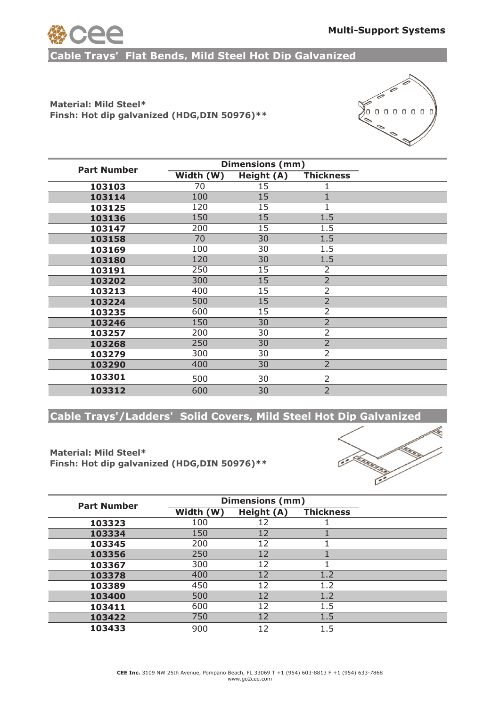

**Cable Trays' Flat Bends, Mild Steel Hot Dip Galvanized**

## **Material: Mild Steel\* Finsh: Hot dip galvanized (HDG,DIN 50976)\*\***



| <b>Part Number</b> | Dimensions (mm) |            |                  |  |
|--------------------|-----------------|------------|------------------|--|
|                    | Width (W)       | Height (A) | <b>Thickness</b> |  |
| 103103             | 70              | 15         |                  |  |
| 103114             | 100             | 15         |                  |  |
| 103125             | 120             | 15         |                  |  |
| 103136             | 150             | 15         | 1.5              |  |
| 103147             | 200             | 15         | 1.5              |  |
| 103158             | 70              | 30         | 1.5              |  |
| 103169             | 100             | 30         | 1.5              |  |
| 103180             | 120             | 30         | 1.5              |  |
| 103191             | 250             | 15         | $\overline{2}$   |  |
| 103202             | 300             | 15         | $\overline{2}$   |  |
| 103213             | 400             | 15         | $\overline{2}$   |  |
| 103224             | 500             | 15         | $\overline{2}$   |  |
| 103235             | 600             | 15         | 2                |  |
| 103246             | 150             | 30         | $\overline{2}$   |  |
| 103257             | 200             | 30         | 2                |  |
| 103268             | 250             | 30         | $\overline{2}$   |  |
| 103279             | 300             | 30         | 2                |  |
| 103290             | 400             | 30         | $\overline{2}$   |  |
| 103301             | 500             | 30         | $\overline{2}$   |  |
| 103312             | 600             | 30         | $\overline{2}$   |  |

**Cable Trays'/Ladders' Solid Covers, Mild Steel Hot Dip Galvanized**

### **Material: Mild Steel\* Finsh: Hot dip galvanized (HDG,DIN 50976)\*\***



| <b>Part Number</b> | <b>Dimensions (mm)</b> |            |                  |  |
|--------------------|------------------------|------------|------------------|--|
|                    | Width (W)              | Height (A) | <b>Thickness</b> |  |
| 103323             | 100                    | 12         |                  |  |
| 103334             | 150                    | 12         |                  |  |
| 103345             | 200                    | 12         |                  |  |
| 103356             | 250                    | 12         |                  |  |
| 103367             | 300                    | 12         |                  |  |
| 103378             | 400                    | 12         | 1.2              |  |
| 103389             | 450                    | 12         | 1.2              |  |
| 103400             | 500                    | 12         | 1.2              |  |
| 103411             | 600                    | 12         | 1.5              |  |
| 103422             | 750                    | 12         | 1.5              |  |
| 103433             | 900                    | 12         | 1.5              |  |